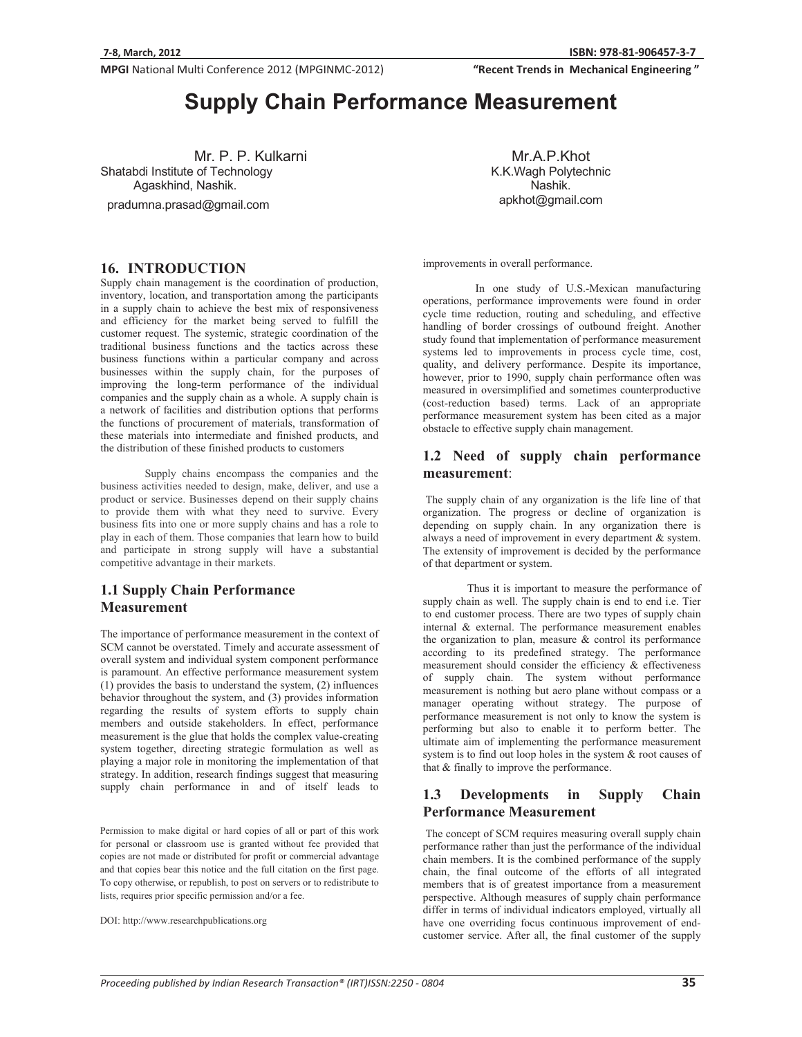"Recent Trends in Mechanical Engineering"

# **Supply Chain Performance Measurement**

Mr. P. P. Kulkarni Shatabdi Institute of Technology Agaskhind, Nashik.

pradumna.prasad@gmail.com

Mr.A.P.Khot K.K.Wagh Polytechnic Nashik. apkhot@gmail.com

**16. INTRODUCTION** 

Supply chain management is the coordination of production, inventory, location, and transportation among the participants in a supply chain to achieve the best mix of responsiveness and efficiency for the market being served to fulfill the customer request. The systemic, strategic coordination of the traditional business functions and the tactics across these business functions within a particular company and across businesses within the supply chain, for the purposes of improving the long-term performance of the individual companies and the supply chain as a whole. A supply chain is a network of facilities and distribution options that performs the functions of procurement of materials, transformation of these materials into intermediate and finished products, and the distribution of these finished products to customers

Supply chains encompass the companies and the business activities needed to design, make, deliver, and use a product or service. Businesses depend on their supply chains to provide them with what they need to survive. Every business fits into one or more supply chains and has a role to play in each of them. Those companies that learn how to build and participate in strong supply will have a substantial competitive advantage in their markets.

### **1.1 Supply Chain Performance Measurement**

The importance of performance measurement in the context of SCM cannot be overstated. Timely and accurate assessment of overall system and individual system component performance is paramount. An effective performance measurement system (1) provides the basis to understand the system, (2) influences behavior throughout the system, and (3) provides information regarding the results of system efforts to supply chain members and outside stakeholders. In effect, performance measurement is the glue that holds the complex value-creating system together, directing strategic formulation as well as playing a major role in monitoring the implementation of that strategy. In addition, research findings suggest that measuring supply chain performance in and of itself leads to

Permission to make digital or hard copies of all or part of this work for personal or classroom use is granted without fee provided that copies are not made or distributed for profit or commercial advantage and that copies bear this notice and the full citation on the first page. To copy otherwise, or republish, to post on servers or to redistribute to lists, requires prior specific permission and/or a fee.

DOI: http://www.researchpublications.org

improvements in overall performance.

 In one study of U.S.-Mexican manufacturing operations, performance improvements were found in order cycle time reduction, routing and scheduling, and effective handling of border crossings of outbound freight. Another study found that implementation of performance measurement systems led to improvements in process cycle time, cost, quality, and delivery performance. Despite its importance, however, prior to 1990, supply chain performance often was measured in oversimplified and sometimes counterproductive (cost-reduction based) terms. Lack of an appropriate performance measurement system has been cited as a major obstacle to effective supply chain management.

### **1.2 Need of supply chain performance measurement**:

 The supply chain of any organization is the life line of that organization. The progress or decline of organization is depending on supply chain. In any organization there is always a need of improvement in every department & system. The extensity of improvement is decided by the performance of that department or system.

Thus it is important to measure the performance of supply chain as well. The supply chain is end to end i.e. Tier to end customer process. There are two types of supply chain internal & external. The performance measurement enables the organization to plan, measure & control its performance according to its predefined strategy. The performance measurement should consider the efficiency & effectiveness of supply chain. The system without performance measurement is nothing but aero plane without compass or a manager operating without strategy. The purpose of performance measurement is not only to know the system is performing but also to enable it to perform better. The ultimate aim of implementing the performance measurement system is to find out loop holes in the system & root causes of that & finally to improve the performance.

### **1.3 Developments in Supply Chain Performance Measurement**

 The concept of SCM requires measuring overall supply chain performance rather than just the performance of the individual chain members. It is the combined performance of the supply chain, the final outcome of the efforts of all integrated members that is of greatest importance from a measurement perspective. Although measures of supply chain performance differ in terms of individual indicators employed, virtually all have one overriding focus continuous improvement of endcustomer service. After all, the final customer of the supply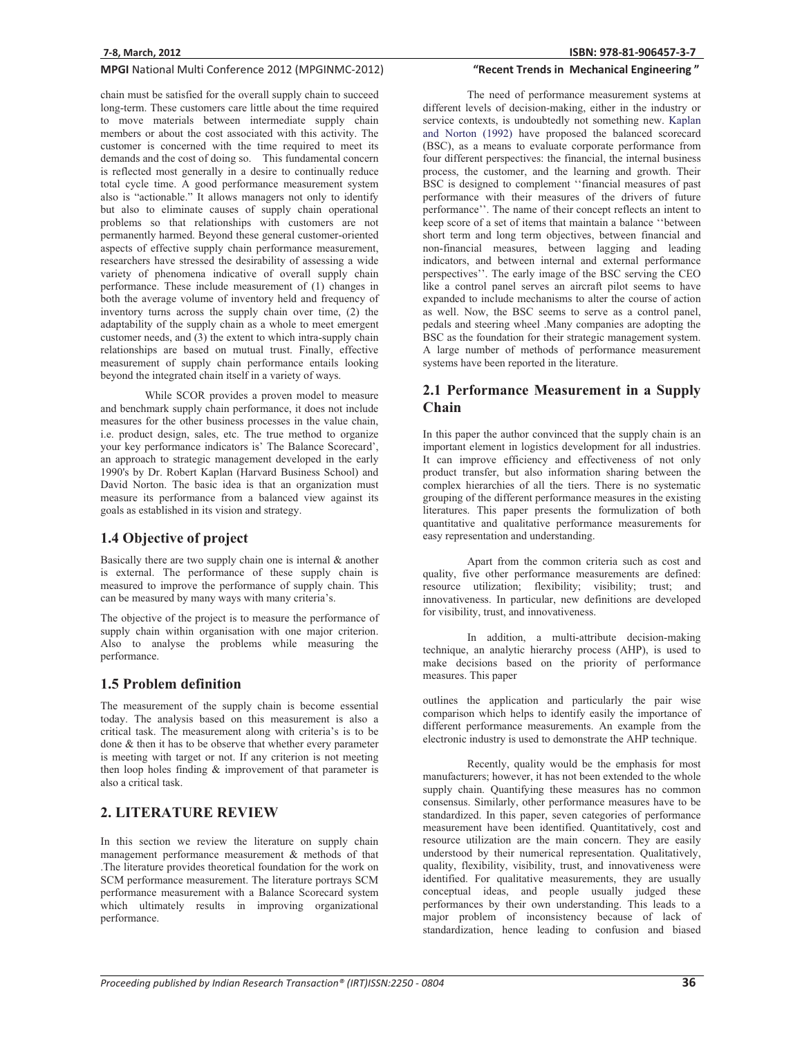chain must be satisfied for the overall supply chain to succeed long-term. These customers care little about the time required to move materials between intermediate supply chain members or about the cost associated with this activity. The customer is concerned with the time required to meet its demands and the cost of doing so. This fundamental concern is reflected most generally in a desire to continually reduce total cycle time. A good performance measurement system also is "actionable." It allows managers not only to identify but also to eliminate causes of supply chain operational problems so that relationships with customers are not permanently harmed. Beyond these general customer-oriented aspects of effective supply chain performance measurement, researchers have stressed the desirability of assessing a wide variety of phenomena indicative of overall supply chain performance. These include measurement of (1) changes in both the average volume of inventory held and frequency of inventory turns across the supply chain over time, (2) the adaptability of the supply chain as a whole to meet emergent customer needs, and (3) the extent to which intra-supply chain relationships are based on mutual trust. Finally, effective measurement of supply chain performance entails looking beyond the integrated chain itself in a variety of ways.

 While SCOR provides a proven model to measure and benchmark supply chain performance, it does not include measures for the other business processes in the value chain, i.e. product design, sales, etc. The true method to organize your key performance indicators is' The Balance Scorecard', an approach to strategic management developed in the early 1990's by Dr. Robert Kaplan (Harvard Business School) and David Norton. The basic idea is that an organization must measure its performance from a balanced view against its goals as established in its vision and strategy.

### **1.4 Objective of project**

Basically there are two supply chain one is internal  $\&$  another is external. The performance of these supply chain is measured to improve the performance of supply chain. This can be measured by many ways with many criteria's.

The objective of the project is to measure the performance of supply chain within organisation with one major criterion. Also to analyse the problems while measuring the performance.

### **1.5 Problem definition**

The measurement of the supply chain is become essential today. The analysis based on this measurement is also a critical task. The measurement along with criteria's is to be done & then it has to be observe that whether every parameter is meeting with target or not. If any criterion is not meeting then loop holes finding & improvement of that parameter is also a critical task.

### **2. LITERATURE REVIEW**

In this section we review the literature on supply chain management performance measurement & methods of that .The literature provides theoretical foundation for the work on SCM performance measurement. The literature portrays SCM performance measurement with a Balance Scorecard system which ultimately results in improving organizational performance.

### "Recent Trends in Mechanical Engineering"

The need of performance measurement systems at different levels of decision-making, either in the industry or service contexts, is undoubtedly not something new. Kaplan and Norton (1992) have proposed the balanced scorecard (BSC), as a means to evaluate corporate performance from four different perspectives: the financial, the internal business process, the customer, and the learning and growth. Their BSC is designed to complement ''financial measures of past performance with their measures of the drivers of future performance''. The name of their concept reflects an intent to keep score of a set of items that maintain a balance ''between short term and long term objectives, between financial and non-financial measures, between lagging and leading indicators, and between internal and external performance perspectives''. The early image of the BSC serving the CEO like a control panel serves an aircraft pilot seems to have expanded to include mechanisms to alter the course of action as well. Now, the BSC seems to serve as a control panel, pedals and steering wheel .Many companies are adopting the BSC as the foundation for their strategic management system. A large number of methods of performance measurement systems have been reported in the literature.

### **2.1 Performance Measurement in a Supply Chain**

In this paper the author convinced that the supply chain is an important element in logistics development for all industries. It can improve efficiency and effectiveness of not only product transfer, but also information sharing between the complex hierarchies of all the tiers. There is no systematic grouping of the different performance measures in the existing literatures. This paper presents the formulization of both quantitative and qualitative performance measurements for easy representation and understanding.

Apart from the common criteria such as cost and quality, five other performance measurements are defined: resource utilization; flexibility; visibility; trust; and innovativeness. In particular, new definitions are developed for visibility, trust, and innovativeness.

In addition, a multi-attribute decision-making technique, an analytic hierarchy process (AHP), is used to make decisions based on the priority of performance measures. This paper

outlines the application and particularly the pair wise comparison which helps to identify easily the importance of different performance measurements. An example from the electronic industry is used to demonstrate the AHP technique.

Recently, quality would be the emphasis for most manufacturers; however, it has not been extended to the whole supply chain. Quantifying these measures has no common consensus. Similarly, other performance measures have to be standardized. In this paper, seven categories of performance measurement have been identified. Quantitatively, cost and resource utilization are the main concern. They are easily understood by their numerical representation. Qualitatively, quality, flexibility, visibility, trust, and innovativeness were identified. For qualitative measurements, they are usually conceptual ideas, and people usually judged these performances by their own understanding. This leads to a major problem of inconsistency because of lack of standardization, hence leading to confusion and biased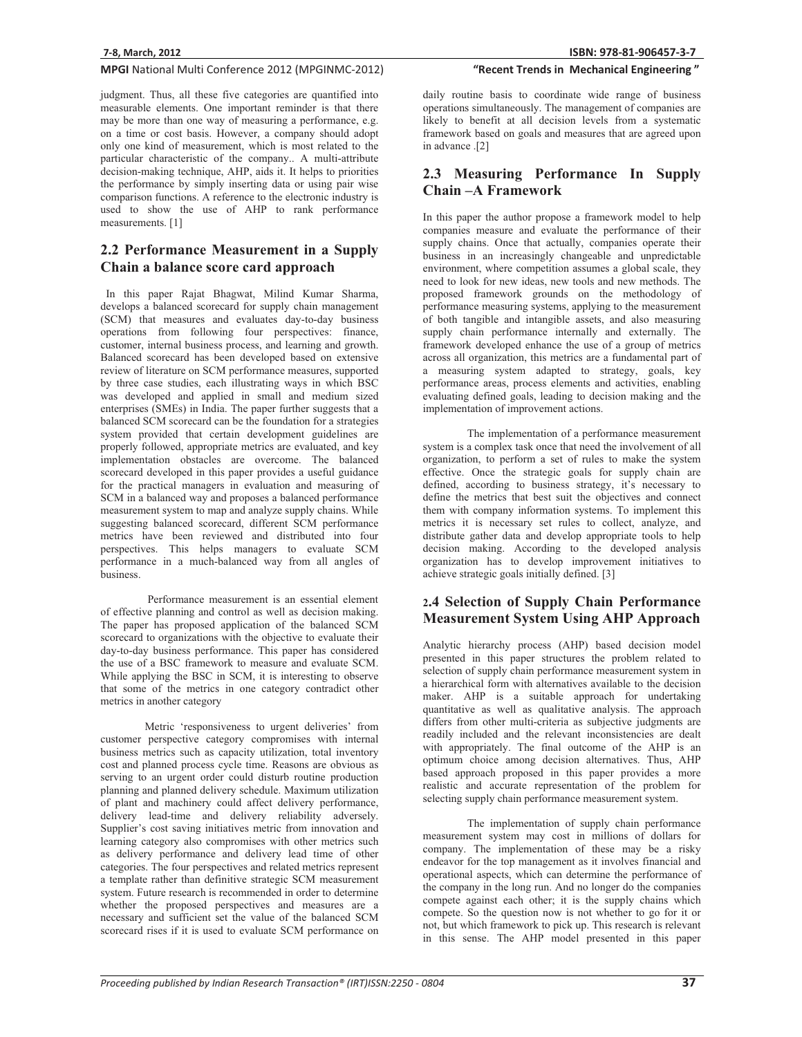judgment. Thus, all these five categories are quantified into measurable elements. One important reminder is that there may be more than one way of measuring a performance, e.g. on a time or cost basis. However, a company should adopt only one kind of measurement, which is most related to the particular characteristic of the company.. A multi-attribute decision-making technique, AHP, aids it. It helps to priorities the performance by simply inserting data or using pair wise comparison functions. A reference to the electronic industry is used to show the use of AHP to rank performance measurements. [1]

# **2.2 Performance Measurement in a Supply Chain a balance score card approach**

 In this paper Rajat Bhagwat, Milind Kumar Sharma, develops a balanced scorecard for supply chain management (SCM) that measures and evaluates day-to-day business operations from following four perspectives: finance, customer, internal business process, and learning and growth. Balanced scorecard has been developed based on extensive review of literature on SCM performance measures, supported by three case studies, each illustrating ways in which BSC was developed and applied in small and medium sized enterprises (SMEs) in India. The paper further suggests that a balanced SCM scorecard can be the foundation for a strategies system provided that certain development guidelines are properly followed, appropriate metrics are evaluated, and key implementation obstacles are overcome. The balanced scorecard developed in this paper provides a useful guidance for the practical managers in evaluation and measuring of SCM in a balanced way and proposes a balanced performance measurement system to map and analyze supply chains. While suggesting balanced scorecard, different SCM performance metrics have been reviewed and distributed into four perspectives. This helps managers to evaluate SCM performance in a much-balanced way from all angles of business.

 Performance measurement is an essential element of effective planning and control as well as decision making. The paper has proposed application of the balanced SCM scorecard to organizations with the objective to evaluate their day-to-day business performance. This paper has considered the use of a BSC framework to measure and evaluate SCM. While applying the BSC in SCM, it is interesting to observe that some of the metrics in one category contradict other metrics in another category

 Metric 'responsiveness to urgent deliveries' from customer perspective category compromises with internal business metrics such as capacity utilization, total inventory cost and planned process cycle time. Reasons are obvious as serving to an urgent order could disturb routine production planning and planned delivery schedule. Maximum utilization of plant and machinery could affect delivery performance, delivery lead-time and delivery reliability adversely. Supplier's cost saving initiatives metric from innovation and learning category also compromises with other metrics such as delivery performance and delivery lead time of other categories. The four perspectives and related metrics represent a template rather than definitive strategic SCM measurement system. Future research is recommended in order to determine whether the proposed perspectives and measures are a necessary and sufficient set the value of the balanced SCM scorecard rises if it is used to evaluate SCM performance on

### "Recent Trends in Mechanical Engineering"

daily routine basis to coordinate wide range of business operations simultaneously. The management of companies are likely to benefit at all decision levels from a systematic framework based on goals and measures that are agreed upon in advance .[2]

## **2.3 Measuring Performance In Supply Chain –A Framework**

In this paper the author propose a framework model to help companies measure and evaluate the performance of their supply chains. Once that actually, companies operate their business in an increasingly changeable and unpredictable environment, where competition assumes a global scale, they need to look for new ideas, new tools and new methods. The proposed framework grounds on the methodology of performance measuring systems, applying to the measurement of both tangible and intangible assets, and also measuring supply chain performance internally and externally. The framework developed enhance the use of a group of metrics across all organization, this metrics are a fundamental part of a measuring system adapted to strategy, goals, key performance areas, process elements and activities, enabling evaluating defined goals, leading to decision making and the implementation of improvement actions.

The implementation of a performance measurement system is a complex task once that need the involvement of all organization, to perform a set of rules to make the system effective. Once the strategic goals for supply chain are defined, according to business strategy, it's necessary to define the metrics that best suit the objectives and connect them with company information systems. To implement this metrics it is necessary set rules to collect, analyze, and distribute gather data and develop appropriate tools to help decision making. According to the developed analysis organization has to develop improvement initiatives to achieve strategic goals initially defined. [3]

### **2.4 Selection of Supply Chain Performance Measurement System Using AHP Approach**

Analytic hierarchy process (AHP) based decision model presented in this paper structures the problem related to selection of supply chain performance measurement system in a hierarchical form with alternatives available to the decision maker. AHP is a suitable approach for undertaking quantitative as well as qualitative analysis. The approach differs from other multi-criteria as subjective judgments are readily included and the relevant inconsistencies are dealt with appropriately. The final outcome of the AHP is an optimum choice among decision alternatives. Thus, AHP based approach proposed in this paper provides a more realistic and accurate representation of the problem for selecting supply chain performance measurement system.

The implementation of supply chain performance measurement system may cost in millions of dollars for company. The implementation of these may be a risky endeavor for the top management as it involves financial and operational aspects, which can determine the performance of the company in the long run. And no longer do the companies compete against each other; it is the supply chains which compete. So the question now is not whether to go for it or not, but which framework to pick up. This research is relevant in this sense. The AHP model presented in this paper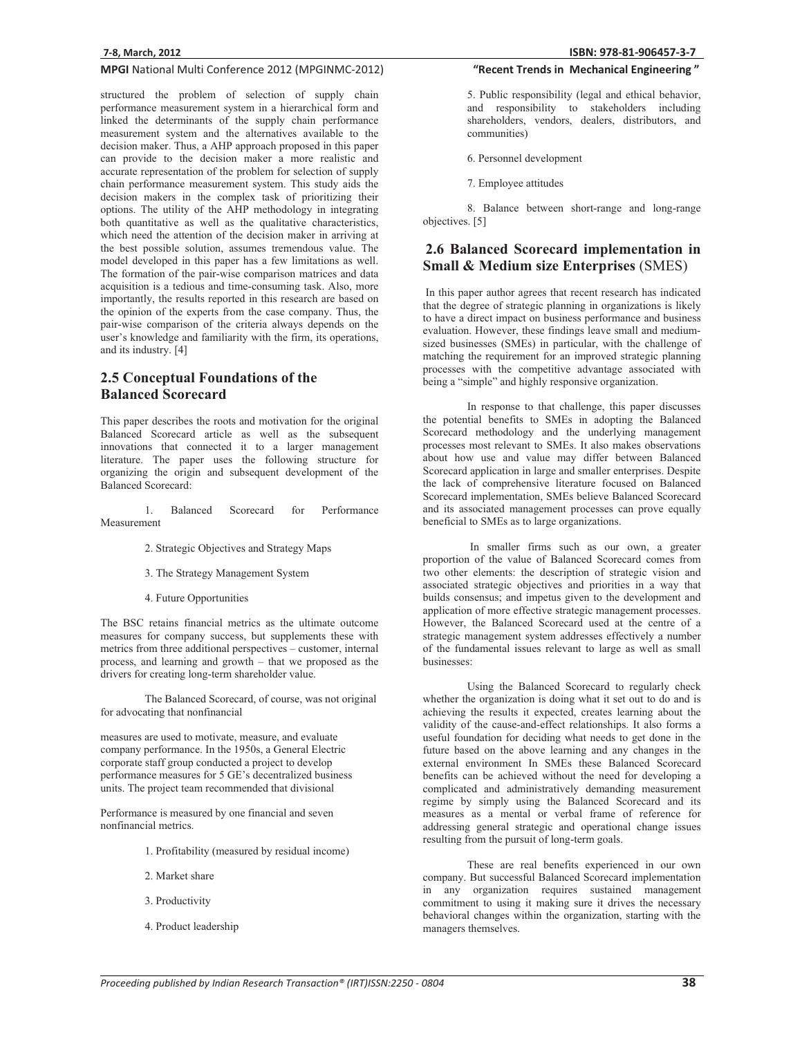structured the problem of selection of supply chain performance measurement system in a hierarchical form and linked the determinants of the supply chain performance measurement system and the alternatives available to the decision maker. Thus, a AHP approach proposed in this paper can provide to the decision maker a more realistic and accurate representation of the problem for selection of supply chain performance measurement system. This study aids the decision makers in the complex task of prioritizing their options. The utility of the AHP methodology in integrating both quantitative as well as the qualitative characteristics, which need the attention of the decision maker in arriving at the best possible solution, assumes tremendous value. The model developed in this paper has a few limitations as well. The formation of the pair-wise comparison matrices and data acquisition is a tedious and time-consuming task. Also, more importantly, the results reported in this research are based on the opinion of the experts from the case company. Thus, the pair-wise comparison of the criteria always depends on the user's knowledge and familiarity with the firm, its operations, and its industry. [4]

# **2.5 Conceptual Foundations of the Balanced Scorecard**

This paper describes the roots and motivation for the original Balanced Scorecard article as well as the subsequent innovations that connected it to a larger management literature. The paper uses the following structure for organizing the origin and subsequent development of the Balanced Scorecard:

1. Balanced Scorecard for Performance Measurement

- 2. Strategic Objectives and Strategy Maps
- 3. The Strategy Management System
- 4. Future Opportunities

The BSC retains financial metrics as the ultimate outcome measures for company success, but supplements these with metrics from three additional perspectives – customer, internal process, and learning and growth – that we proposed as the drivers for creating long-term shareholder value.

The Balanced Scorecard, of course, was not original for advocating that nonfinancial

measures are used to motivate, measure, and evaluate company performance. In the 1950s, a General Electric corporate staff group conducted a project to develop performance measures for 5 GE's decentralized business units. The project team recommended that divisional

Performance is measured by one financial and seven nonfinancial metrics.

- 1. Profitability (measured by residual income)
- 2. Market share
- 3. Productivity
- 4. Product leadership

### "Recent Trends in Mechanical Engineering"

5. Public responsibility (legal and ethical behavior, and responsibility to stakeholders including shareholders, vendors, dealers, distributors, and communities)

6. Personnel development

7. Employee attitudes

8. Balance between short-range and long-range objectives. [5]

# **2.6 Balanced Scorecard implementation in Small & Medium size Enterprises** (SMES)

 In this paper author agrees that recent research has indicated that the degree of strategic planning in organizations is likely to have a direct impact on business performance and business evaluation. However, these findings leave small and mediumsized businesses (SMEs) in particular, with the challenge of matching the requirement for an improved strategic planning processes with the competitive advantage associated with being a "simple" and highly responsive organization.

In response to that challenge, this paper discusses the potential benefits to SMEs in adopting the Balanced Scorecard methodology and the underlying management processes most relevant to SMEs. It also makes observations about how use and value may differ between Balanced Scorecard application in large and smaller enterprises. Despite the lack of comprehensive literature focused on Balanced Scorecard implementation, SMEs believe Balanced Scorecard and its associated management processes can prove equally beneficial to SMEs as to large organizations.

 In smaller firms such as our own, a greater proportion of the value of Balanced Scorecard comes from two other elements: the description of strategic vision and associated strategic objectives and priorities in a way that builds consensus; and impetus given to the development and application of more effective strategic management processes. However, the Balanced Scorecard used at the centre of a strategic management system addresses effectively a number of the fundamental issues relevant to large as well as small businesses:

Using the Balanced Scorecard to regularly check whether the organization is doing what it set out to do and is achieving the results it expected, creates learning about the validity of the cause-and-effect relationships. It also forms a useful foundation for deciding what needs to get done in the future based on the above learning and any changes in the external environment In SMEs these Balanced Scorecard benefits can be achieved without the need for developing a complicated and administratively demanding measurement regime by simply using the Balanced Scorecard and its measures as a mental or verbal frame of reference for addressing general strategic and operational change issues resulting from the pursuit of long-term goals.

These are real benefits experienced in our own company. But successful Balanced Scorecard implementation in any organization requires sustained management commitment to using it making sure it drives the necessary behavioral changes within the organization, starting with the managers themselves.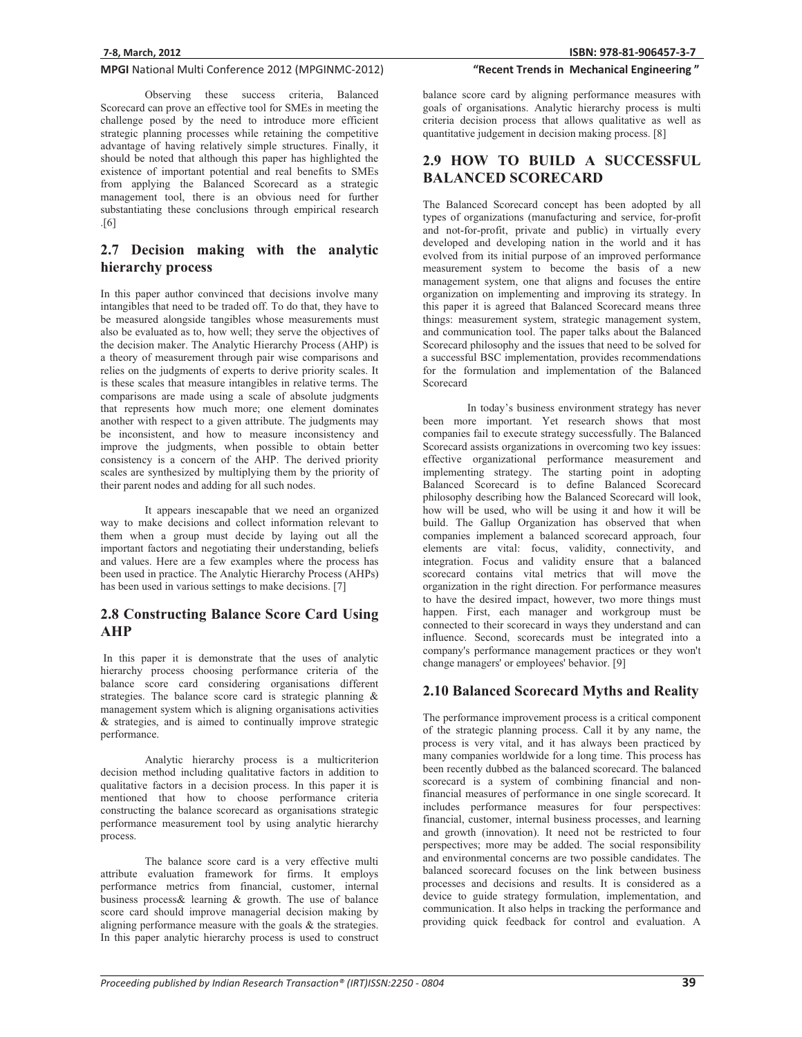Observing these success criteria, Balanced Scorecard can prove an effective tool for SMEs in meeting the challenge posed by the need to introduce more efficient strategic planning processes while retaining the competitive advantage of having relatively simple structures. Finally, it should be noted that although this paper has highlighted the existence of important potential and real benefits to SMEs from applying the Balanced Scorecard as a strategic management tool, there is an obvious need for further substantiating these conclusions through empirical research .[6]

# **2.7 Decision making with the analytic hierarchy process**

In this paper author convinced that decisions involve many intangibles that need to be traded off. To do that, they have to be measured alongside tangibles whose measurements must also be evaluated as to, how well; they serve the objectives of the decision maker. The Analytic Hierarchy Process (AHP) is a theory of measurement through pair wise comparisons and relies on the judgments of experts to derive priority scales. It is these scales that measure intangibles in relative terms. The comparisons are made using a scale of absolute judgments that represents how much more; one element dominates another with respect to a given attribute. The judgments may be inconsistent, and how to measure inconsistency and improve the judgments, when possible to obtain better consistency is a concern of the AHP. The derived priority scales are synthesized by multiplying them by the priority of their parent nodes and adding for all such nodes.

It appears inescapable that we need an organized way to make decisions and collect information relevant to them when a group must decide by laying out all the important factors and negotiating their understanding, beliefs and values. Here are a few examples where the process has been used in practice. The Analytic Hierarchy Process (AHPs) has been used in various settings to make decisions. [7]

### **2.8 Constructing Balance Score Card Using AHP**

 In this paper it is demonstrate that the uses of analytic hierarchy process choosing performance criteria of the balance score card considering organisations different strategies. The balance score card is strategic planning & management system which is aligning organisations activities & strategies, and is aimed to continually improve strategic performance.

 Analytic hierarchy process is a multicriterion decision method including qualitative factors in addition to qualitative factors in a decision process. In this paper it is mentioned that how to choose performance criteria constructing the balance scorecard as organisations strategic performance measurement tool by using analytic hierarchy process.

The balance score card is a very effective multi attribute evaluation framework for firms. It employs performance metrics from financial, customer, internal business process& learning & growth. The use of balance score card should improve managerial decision making by aligning performance measure with the goals & the strategies. In this paper analytic hierarchy process is used to construct

### "Recent Trends in Mechanical Engineering"

balance score card by aligning performance measures with goals of organisations. Analytic hierarchy process is multi criteria decision process that allows qualitative as well as quantitative judgement in decision making process. [8]

## **2.9 HOW TO BUILD A SUCCESSFUL BALANCED SCORECARD**

The Balanced Scorecard concept has been adopted by all types of organizations (manufacturing and service, for-profit and not-for-profit, private and public) in virtually every developed and developing nation in the world and it has evolved from its initial purpose of an improved performance measurement system to become the basis of a new management system, one that aligns and focuses the entire organization on implementing and improving its strategy. In this paper it is agreed that Balanced Scorecard means three things: measurement system, strategic management system, and communication tool. The paper talks about the Balanced Scorecard philosophy and the issues that need to be solved for a successful BSC implementation, provides recommendations for the formulation and implementation of the Balanced Scorecard

In today's business environment strategy has never been more important. Yet research shows that most companies fail to execute strategy successfully. The Balanced Scorecard assists organizations in overcoming two key issues: effective organizational performance measurement and implementing strategy. The starting point in adopting Balanced Scorecard is to define Balanced Scorecard philosophy describing how the Balanced Scorecard will look, how will be used, who will be using it and how it will be build. The Gallup Organization has observed that when companies implement a balanced scorecard approach, four elements are vital: focus, validity, connectivity, and integration. Focus and validity ensure that a balanced scorecard contains vital metrics that will move the organization in the right direction. For performance measures to have the desired impact, however, two more things must happen. First, each manager and workgroup must be connected to their scorecard in ways they understand and can influence. Second, scorecards must be integrated into a company's performance management practices or they won't change managers' or employees' behavior. [9]

### **2.10 Balanced Scorecard Myths and Reality**

The performance improvement process is a critical component of the strategic planning process. Call it by any name, the process is very vital, and it has always been practiced by many companies worldwide for a long time. This process has been recently dubbed as the balanced scorecard. The balanced scorecard is a system of combining financial and nonfinancial measures of performance in one single scorecard. It includes performance measures for four perspectives: financial, customer, internal business processes, and learning and growth (innovation). It need not be restricted to four perspectives; more may be added. The social responsibility and environmental concerns are two possible candidates. The balanced scorecard focuses on the link between business processes and decisions and results. It is considered as a device to guide strategy formulation, implementation, and communication. It also helps in tracking the performance and providing quick feedback for control and evaluation. A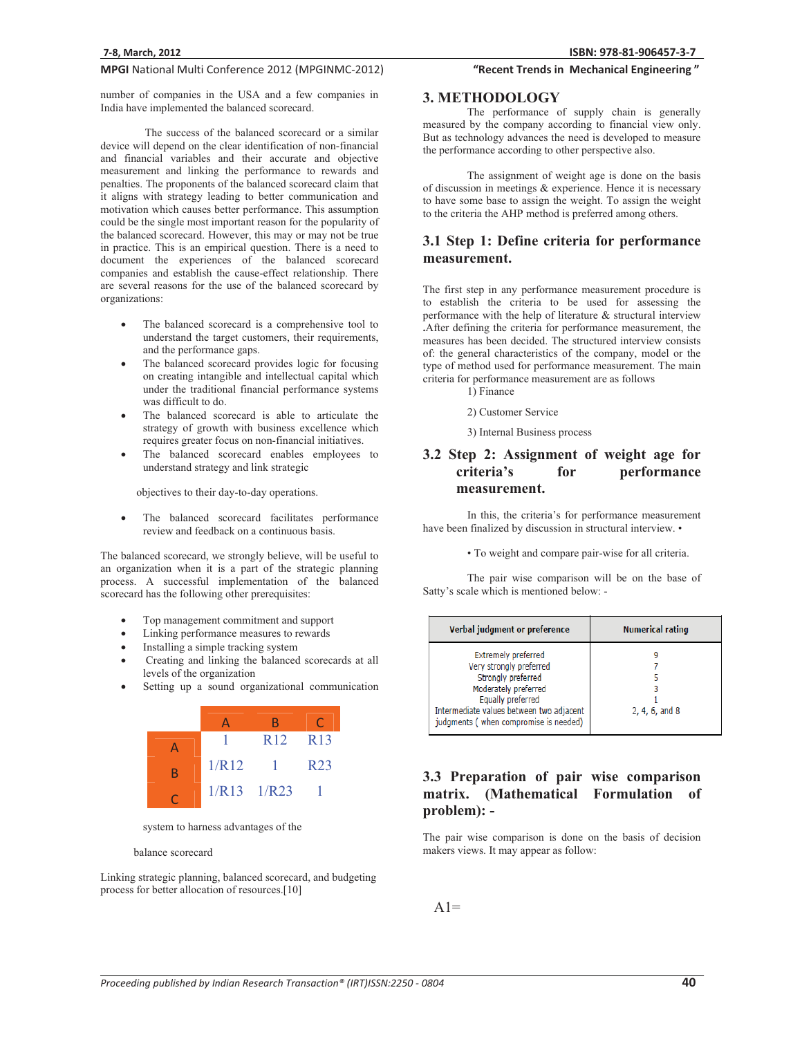number of companies in the USA and a few companies in India have implemented the balanced scorecard.

The success of the balanced scorecard or a similar device will depend on the clear identification of non-financial and financial variables and their accurate and objective measurement and linking the performance to rewards and penalties. The proponents of the balanced scorecard claim that it aligns with strategy leading to better communication and motivation which causes better performance. This assumption could be the single most important reason for the popularity of the balanced scorecard. However, this may or may not be true in practice. This is an empirical question. There is a need to document the experiences of the balanced scorecard companies and establish the cause-effect relationship. There are several reasons for the use of the balanced scorecard by organizations:

- - The balanced scorecard is a comprehensive tool to understand the target customers, their requirements, and the performance gaps.
- - The balanced scorecard provides logic for focusing on creating intangible and intellectual capital which under the traditional financial performance systems was difficult to do.
- - The balanced scorecard is able to articulate the strategy of growth with business excellence which requires greater focus on non-financial initiatives.
- - The balanced scorecard enables employees to understand strategy and link strategic

objectives to their day-to-day operations.

- The balanced scorecard facilitates performance review and feedback on a continuous basis.

The balanced scorecard, we strongly believe, will be useful to an organization when it is a part of the strategic planning process. A successful implementation of the balanced scorecard has the following other prerequisites:

- -Top management commitment and support
- -Linking performance measures to rewards
- -Installing a simple tracking system
- - Creating and linking the balanced scorecards at all levels of the organization
- -Setting up a sound organizational communication



system to harness advantages of the

#### balance scorecard

Linking strategic planning, balanced scorecard, and budgeting process for better allocation of resources.[10]

# "Recent Trends in Mechanical Engineering"

### **3. METHODOLOGY**

The performance of supply chain is generally measured by the company according to financial view only. But as technology advances the need is developed to measure the performance according to other perspective also.

The assignment of weight age is done on the basis of discussion in meetings & experience. Hence it is necessary to have some base to assign the weight. To assign the weight to the criteria the AHP method is preferred among others.

### **3.1 Step 1: Define criteria for performance measurement.**

The first step in any performance measurement procedure is to establish the criteria to be used for assessing the performance with the help of literature & structural interview **.**After defining the criteria for performance measurement, the measures has been decided. The structured interview consists of: the general characteristics of the company, model or the type of method used for performance measurement. The main criteria for performance measurement are as follows

1) Finance

2) Customer Service

3) Internal Business process

# **3.2 Step 2: Assignment of weight age for criteria's for performance measurement.**

In this, the criteria's for performance measurement have been finalized by discussion in structural interview. •

• To weight and compare pair-wise for all criteria.

The pair wise comparison will be on the base of Satty's scale which is mentioned below: -

| Verbal judgment or preference                                                                                                                                                                                 | <b>Numerical rating</b> |  |  |
|---------------------------------------------------------------------------------------------------------------------------------------------------------------------------------------------------------------|-------------------------|--|--|
| <b>Extremely preferred</b><br>Very strongly preferred<br>Strongly preferred<br>Moderately preferred<br>Equally preferred<br>Intermediate values between two adjacent<br>judgments (when compromise is needed) | 2, 4, 6, and 8          |  |  |

# **3.3 Preparation of pair wise comparison matrix. (Mathematical Formulation of problem): -**

The pair wise comparison is done on the basis of decision makers views. It may appear as follow:

 $A1=$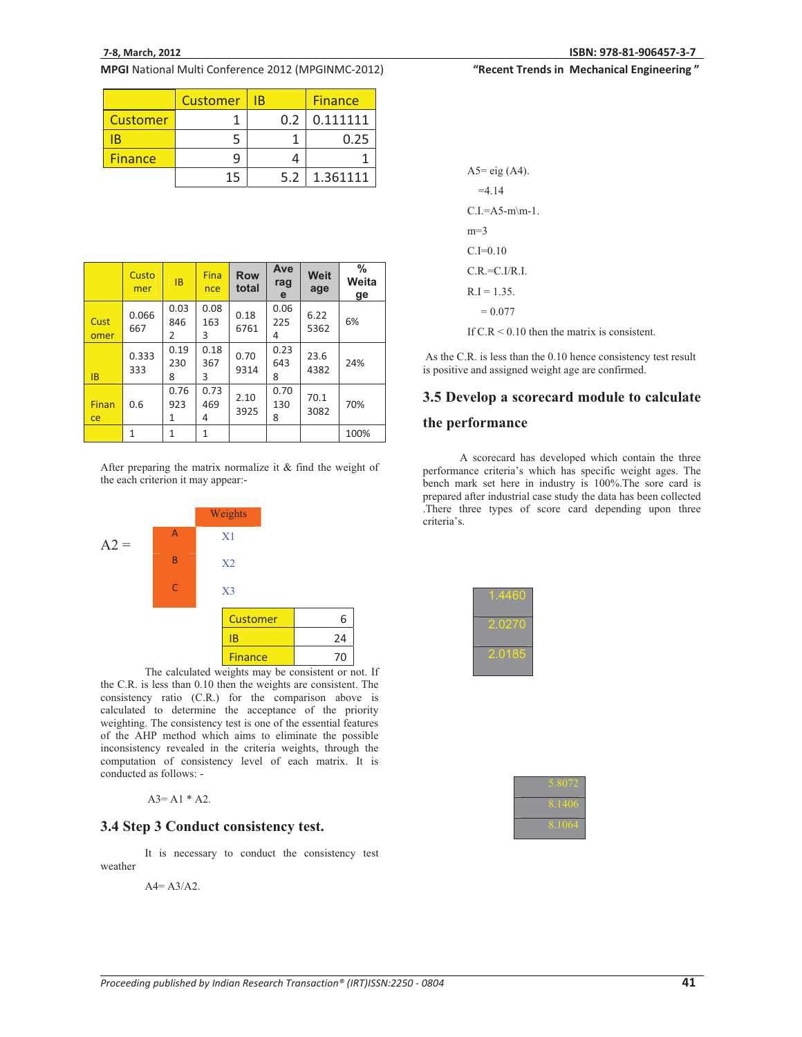|                 | <b>Customer</b> | ΙB |     | <b>Finance</b> |
|-----------------|-----------------|----|-----|----------------|
| <b>Customer</b> |                 |    | 0.2 | 0.111111       |
|                 |                 |    |     | 0.25           |
| <b>Finance</b>  |                 |    |     |                |
|                 | 15              |    | 5.2 | 1.361111       |

|              | Custo<br>mer | <b>IB</b>        | Fina<br>nce      | <b>Row</b><br>total | Ave<br>rag<br>e  | <b>Weit</b><br>age | $\%$<br>Weita<br>ge |
|--------------|--------------|------------------|------------------|---------------------|------------------|--------------------|---------------------|
| Cust<br>omer | 0.066<br>667 | 0.03<br>846<br>2 | 0.08<br>163<br>3 | 0.18<br>6761        | 0.06<br>225<br>4 | 6.22<br>5362       | 6%                  |
| <b>IB</b>    | 0.333<br>333 | 0.19<br>230<br>8 | 0.18<br>367<br>3 | 0.70<br>9314        | 0.23<br>643<br>8 | 23.6<br>4382       | 24%                 |
| Finan<br>ce  | 0.6          | 0.76<br>923<br>1 | 0.73<br>469<br>4 | 2.10<br>3925        | 0.70<br>130<br>8 | 70.1<br>3082       | 70%                 |
|              | $\mathbf{1}$ | $\mathbf{1}$     | 1                |                     |                  |                    | 100%                |
|              |              |                  |                  |                     |                  |                    |                     |

After preparing the matrix normalize it & find the weight of the each criterion it may appear:-



The calculated weights may be consistent or not. If the C.R. is less than 0.10 then the weights are consistent. The consistency ratio (C.R.) for the comparison above is calculated to determine the acceptance of the priority weighting. The consistency test is one of the essential features of the AHP method which aims to eliminate the possible inconsistency revealed in the criteria weights, through the computation of consistency level of each matrix. It is conducted as follows: -

 $A3 = A1 * A2$ .

### **3.4 Step 3 Conduct consistency test.**

It is necessary to conduct the consistency test weather

 $A4 = A3/A2$ .

### "Recent Trends in Mechanical Engineering"

| $A5 = eig(A4)$ .                               |
|------------------------------------------------|
| $=4.14$                                        |
| $C.I = A5-m\ m-1.$                             |
| $m=3$                                          |
| $C.I=0.10$                                     |
| $C.R = C.I/R.I$                                |
| $R.I = 1.35.$                                  |
| $= 0.077$                                      |
| If $C.R < 0.10$ then the matrix is consistent. |

As the C.R. is less than the 0.10 hence consistency test result is positive and assigned weight age are confirmed.

### **3.5 Develop a scorecard module to calculate**

### **the performance**

 A scorecard has developed which contain the three performance criteria's which has specific weight ages. The bench mark set here in industry is 100%.The sore card is prepared after industrial case study the data has been collected .There three types of score card depending upon three

| 1.4460    |
|-----------|
| 2.027     |
| QA<br>-01 |

| .8072      |
|------------|
| .1406<br>x |
| .1064      |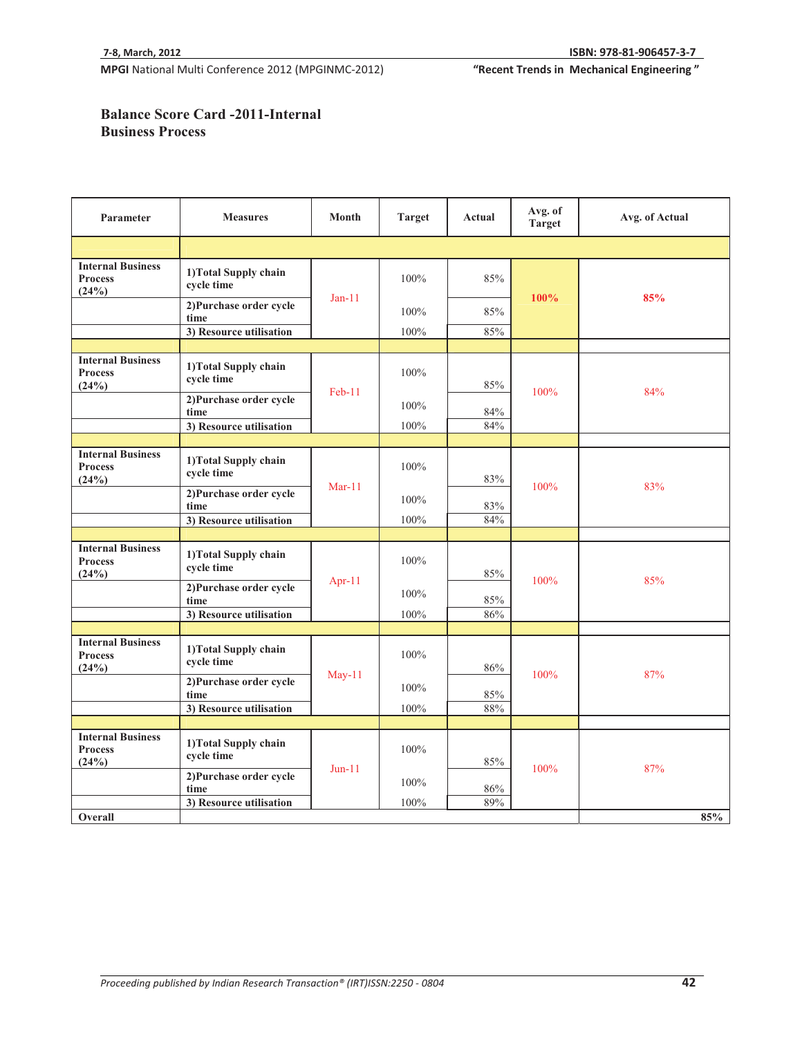"Recent Trends in Mechanical Engineering"

# **Balance Score Card -2011-Internal Business Process**

| Parameter                                           | <b>Measures</b>                     | Month     | <b>Target</b> | Actual | Avg. of<br><b>Target</b> | Avg. of Actual |
|-----------------------------------------------------|-------------------------------------|-----------|---------------|--------|--------------------------|----------------|
|                                                     |                                     |           |               |        |                          |                |
| <b>Internal Business</b><br><b>Process</b><br>(24%) | 1) Total Supply chain<br>cycle time |           | 100%          | 85%    |                          |                |
|                                                     | 2) Purchase order cycle<br>time     | $Jan-11$  | 100%          | 85%    | 100%                     | 85%            |
|                                                     | 3) Resource utilisation             |           | 100%          | 85%    |                          |                |
|                                                     |                                     |           |               |        |                          |                |
| <b>Internal Business</b><br><b>Process</b><br>(24%) | 1) Total Supply chain<br>cycle time |           | 100%          | 85%    |                          |                |
|                                                     | 2) Purchase order cycle<br>time     | $Feb-11$  | 100%          | 84%    | 100%                     | 84%            |
|                                                     | 3) Resource utilisation             |           | 100%          | 84%    |                          |                |
|                                                     |                                     |           |               |        |                          |                |
| <b>Internal Business</b><br><b>Process</b><br>(24%) | 1) Total Supply chain<br>cycle time | $Mar-11$  | 100%          | 83%    | 100%                     | 83%            |
|                                                     | 2) Purchase order cycle<br>time     |           | 100%          | $83\%$ |                          |                |
|                                                     | 3) Resource utilisation             |           | 100%          | 84%    |                          |                |
|                                                     |                                     |           |               |        |                          |                |
| <b>Internal Business</b><br><b>Process</b><br>(24%) | 1) Total Supply chain<br>cycle time |           | 100%          | 85%    | 100%                     | 85%            |
|                                                     | 2) Purchase order cycle<br>time     | Apr- $11$ | 100%          | 85%    |                          |                |
|                                                     | 3) Resource utilisation             |           | 100%          | 86%    |                          |                |
|                                                     |                                     |           |               |        |                          |                |
| <b>Internal Business</b><br><b>Process</b><br>(24%) | 1) Total Supply chain<br>cycle time |           | 100%          | 86%    | 100%                     | 87%            |
|                                                     | 2) Purchase order cycle<br>time     | $May-11$  | 100%          | 85%    |                          |                |
|                                                     | 3) Resource utilisation             |           | 100%          | 88%    |                          |                |
|                                                     |                                     |           |               |        |                          |                |
| <b>Internal Business</b><br><b>Process</b><br>(24%) | 1) Total Supply chain<br>cycle time | $Jun-11$  | 100%          | 85%    | 100%                     | 87%            |
|                                                     | 2) Purchase order cycle<br>time     |           | 100%          | 86%    |                          |                |
|                                                     | 3) Resource utilisation             |           | 100%          | 89%    |                          |                |
| Overall                                             |                                     |           |               |        |                          | 85%            |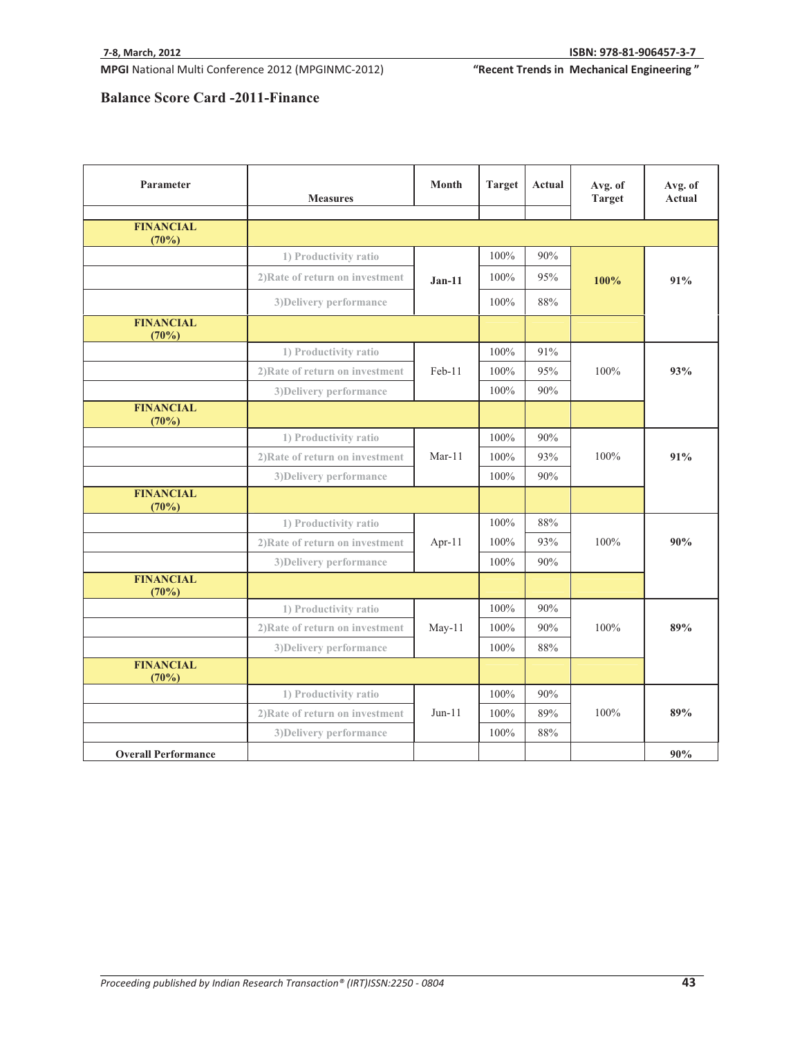"Recent Trends in Mechanical Engineering"

# **Balance Score Card -2011-Finance**

| Parameter                    | <b>Measures</b>                 | Month    | <b>Target</b> | Actual | Avg. of<br><b>Target</b> | Avg. of<br><b>Actual</b> |
|------------------------------|---------------------------------|----------|---------------|--------|--------------------------|--------------------------|
| <b>FINANCIAL</b><br>(70%)    |                                 |          |               |        |                          |                          |
|                              | 1) Productivity ratio           |          | 100%          | 90%    |                          |                          |
|                              | 2) Rate of return on investment | $Jan-11$ | 100%          | 95%    | 100%                     | 91%                      |
|                              | 3) Delivery performance         |          | $100\%$       | 88%    |                          |                          |
| <b>FINANCIAL</b><br>(70%)    |                                 |          |               |        |                          |                          |
|                              | 1) Productivity ratio           |          | 100%          | 91%    |                          |                          |
|                              | 2) Rate of return on investment | Feb-11   | 100%          | 95%    | 100%                     | 93%                      |
|                              | 3) Delivery performance         |          | 100%          | 90%    |                          |                          |
| <b>FINANCIAL</b><br>(70%)    |                                 |          |               |        |                          |                          |
|                              | 1) Productivity ratio           |          | 100%          | 90%    |                          |                          |
|                              | 2) Rate of return on investment | $Mar-11$ | 100%          | 93%    | 100%                     | 91%                      |
|                              | 3) Delivery performance         |          | 100%          | 90%    |                          |                          |
| <b>FINANCIAL</b><br>(70%)    |                                 |          |               |        |                          |                          |
|                              | 1) Productivity ratio           |          | 100%          | 88%    |                          |                          |
|                              | 2) Rate of return on investment | Apr-11   | 100%          | 93%    | 100%                     | 90%                      |
|                              | 3) Delivery performance         |          | 100%          | 90%    |                          |                          |
| <b>FINANCIAL</b><br>(70%)    |                                 |          |               |        |                          |                          |
|                              | 1) Productivity ratio           |          | 100%          | 90%    |                          |                          |
|                              | 2) Rate of return on investment | $May-11$ | 100%          | 90%    | 100%                     | 89%                      |
|                              | 3) Delivery performance         |          | 100%          | 88%    |                          |                          |
| <b>FINANCIAL</b><br>$(70\%)$ |                                 |          |               |        |                          |                          |
|                              | 1) Productivity ratio           |          | 100%          | 90%    |                          |                          |
|                              | 2) Rate of return on investment | $Jun-11$ | 100%          | 89%    | 100%                     | 89%                      |
|                              | 3) Delivery performance         |          | 100%          | 88%    |                          |                          |
| <b>Overall Performance</b>   |                                 |          |               |        |                          | 90%                      |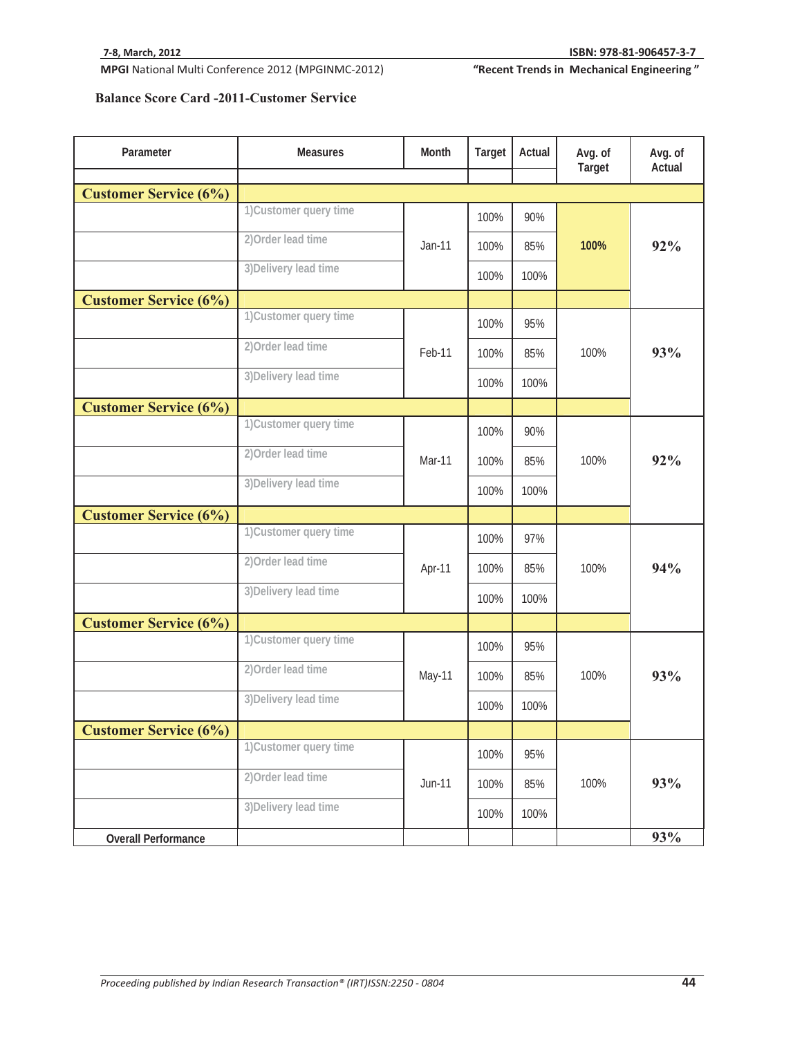"Recent Trends in Mechanical Engineering"

# **Balance Score Card -2011-Customer Service**

| Parameter                    | <b>Measures</b>        | Month    | <b>Target</b> | Actual | Avg. of<br>Target | Avg. of<br>Actual |
|------------------------------|------------------------|----------|---------------|--------|-------------------|-------------------|
|                              |                        |          |               |        |                   |                   |
| <b>Customer Service (6%)</b> |                        |          |               |        |                   |                   |
|                              | 1) Customer query time |          | 100%          | 90%    |                   | 92%               |
|                              | 2) Order lead time     | Jan-11   | 100%          | 85%    | 100%              |                   |
|                              | 3) Delivery lead time  |          | 100%          | 100%   |                   |                   |
| <b>Customer Service (6%)</b> |                        |          |               |        |                   |                   |
|                              | 1) Customer query time |          | 100%          | 95%    |                   |                   |
|                              | 2) Order lead time     | Feb-11   | 100%          | 85%    | 100%              | 93%               |
|                              | 3) Delivery lead time  |          | 100%          | 100%   |                   |                   |
| <b>Customer Service (6%)</b> |                        |          |               |        |                   |                   |
|                              | 1) Customer query time |          | 100%          | 90%    |                   |                   |
|                              | 2) Order lead time     | Mar-11   | 100%          | 85%    | 100%              | 92%               |
|                              | 3) Delivery lead time  |          | 100%          | 100%   |                   |                   |
| <b>Customer Service (6%)</b> |                        |          |               |        |                   |                   |
|                              | 1) Customer query time |          | 100%          | 97%    | 100%              | 94%               |
|                              | 2) Order lead time     | Apr-11   | 100%          | 85%    |                   |                   |
|                              | 3) Delivery lead time  |          | 100%          | 100%   |                   |                   |
| <b>Customer Service (6%)</b> |                        |          |               |        |                   |                   |
|                              | 1) Customer query time |          | 100%          | 95%    |                   |                   |
|                              | 2) Order lead time     | May-11   | 100%          | 85%    | 100%              | 93%               |
|                              | 3) Delivery lead time  |          | 100%          | 100%   |                   |                   |
| <b>Customer Service (6%)</b> |                        |          |               |        |                   |                   |
|                              | 1) Customer query time |          | 100%          | 95%    |                   |                   |
|                              | 2) Order lead time     | $Jun-11$ | 100%          | 85%    | 100%              | 93%               |
|                              | 3) Delivery lead time  |          | 100%          | 100%   |                   |                   |
| <b>Overall Performance</b>   |                        |          |               |        |                   | 93%               |